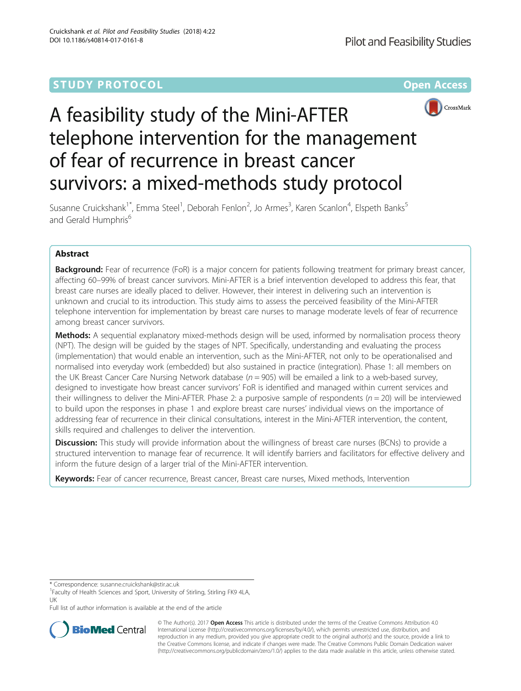# **STUDY PROTOCOL CONSUMING THE RESERVE ACCESS**



# A feasibility study of the Mini-AFTER telephone intervention for the management of fear of recurrence in breast cancer survivors: a mixed-methods study protocol

Susanne Cruickshank<sup>1\*</sup>, Emma Steel<sup>1</sup>, Deborah Fenlon<sup>2</sup>, Jo Armes<sup>3</sup>, Karen Scanlon<sup>4</sup>, Elspeth Banks<sup>5</sup> and Gerald Humphris<sup>6</sup>

# Abstract

Background: Fear of recurrence (FoR) is a major concern for patients following treatment for primary breast cancer, affecting 60–99% of breast cancer survivors. Mini-AFTER is a brief intervention developed to address this fear, that breast care nurses are ideally placed to deliver. However, their interest in delivering such an intervention is unknown and crucial to its introduction. This study aims to assess the perceived feasibility of the Mini-AFTER telephone intervention for implementation by breast care nurses to manage moderate levels of fear of recurrence among breast cancer survivors.

Methods: A sequential explanatory mixed-methods design will be used, informed by normalisation process theory (NPT). The design will be guided by the stages of NPT. Specifically, understanding and evaluating the process (implementation) that would enable an intervention, such as the Mini-AFTER, not only to be operationalised and normalised into everyday work (embedded) but also sustained in practice (integration). Phase 1: all members on the UK Breast Cancer Care Nursing Network database ( $n = 905$ ) will be emailed a link to a web-based survey, designed to investigate how breast cancer survivors' FoR is identified and managed within current services and their willingness to deliver the Mini-AFTER. Phase 2: a purposive sample of respondents ( $n = 20$ ) will be interviewed to build upon the responses in phase 1 and explore breast care nurses' individual views on the importance of addressing fear of recurrence in their clinical consultations, interest in the Mini-AFTER intervention, the content, skills required and challenges to deliver the intervention.

**Discussion:** This study will provide information about the willingness of breast care nurses (BCNs) to provide a structured intervention to manage fear of recurrence. It will identify barriers and facilitators for effective delivery and inform the future design of a larger trial of the Mini-AFTER intervention.

Keywords: Fear of cancer recurrence, Breast cancer, Breast care nurses, Mixed methods, Intervention

\* Correspondence: [susanne.cruickshank@stir.ac.uk](mailto:susanne.cruickshank@stir.ac.uk) <sup>1</sup>

Full list of author information is available at the end of the article



© The Author(s). 2017 **Open Access** This article is distributed under the terms of the Creative Commons Attribution 4.0 International License [\(http://creativecommons.org/licenses/by/4.0/](http://creativecommons.org/licenses/by/4.0/)), which permits unrestricted use, distribution, and reproduction in any medium, provided you give appropriate credit to the original author(s) and the source, provide a link to the Creative Commons license, and indicate if changes were made. The Creative Commons Public Domain Dedication waiver [\(http://creativecommons.org/publicdomain/zero/1.0/](http://creativecommons.org/publicdomain/zero/1.0/)) applies to the data made available in this article, unless otherwise stated.

<sup>&</sup>lt;sup>1</sup>Faculty of Health Sciences and Sport, University of Stirling, Stirling FK9 4LA, UK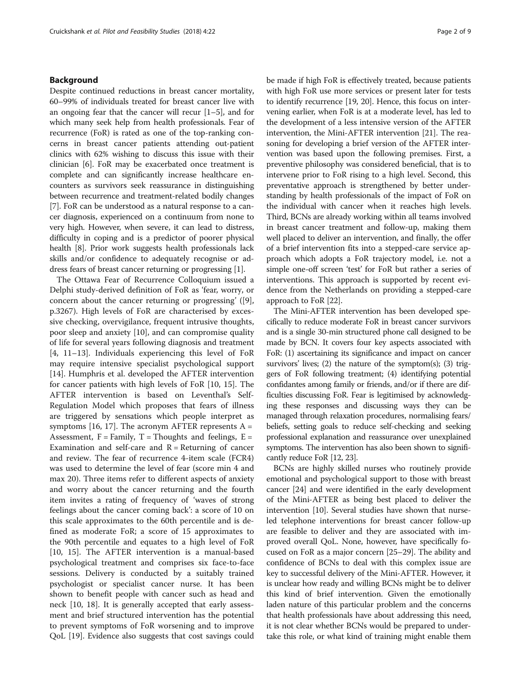# Background

Despite continued reductions in breast cancer mortality, 60–99% of individuals treated for breast cancer live with an ongoing fear that the cancer will recur  $[1-5]$  $[1-5]$  $[1-5]$ , and for which many seek help from health professionals. Fear of recurrence (FoR) is rated as one of the top-ranking concerns in breast cancer patients attending out-patient clinics with 62% wishing to discuss this issue with their clinician [\[6](#page-7-0)]. FoR may be exacerbated once treatment is complete and can significantly increase healthcare encounters as survivors seek reassurance in distinguishing between recurrence and treatment-related bodily changes [[7\]](#page-7-0). FoR can be understood as a natural response to a cancer diagnosis, experienced on a continuum from none to very high. However, when severe, it can lead to distress, difficulty in coping and is a predictor of poorer physical health [[8\]](#page-7-0). Prior work suggests health professionals lack skills and/or confidence to adequately recognise or address fears of breast cancer returning or progressing [[1](#page-7-0)].

The Ottawa Fear of Recurrence Colloquium issued a Delphi study-derived definition of FoR as 'fear, worry, or concern about the cancer returning or progressing' ([\[9](#page-7-0)], p.3267). High levels of FoR are characterised by excessive checking, overvigilance, frequent intrusive thoughts, poor sleep and anxiety [[10\]](#page-7-0), and can compromise quality of life for several years following diagnosis and treatment [[4, 11](#page-7-0)–[13\]](#page-7-0). Individuals experiencing this level of FoR may require intensive specialist psychological support [[14\]](#page-7-0). Humphris et al. developed the AFTER intervention for cancer patients with high levels of FoR [\[10](#page-7-0), [15\]](#page-7-0). The AFTER intervention is based on Leventhal's Self-Regulation Model which proposes that fears of illness are triggered by sensations which people interpret as symptoms [[16,](#page-7-0) [17](#page-8-0)]. The acronym AFTER represents  $A =$ Assessment,  $F = Family$ ,  $T = Thought$  and feelings,  $E =$ Examination and self-care and  $R =$  Returning of cancer and review. The fear of recurrence 4-item scale (FCR4) was used to determine the level of fear (score min 4 and max 20). Three items refer to different aspects of anxiety and worry about the cancer returning and the fourth item invites a rating of frequency of 'waves of strong feelings about the cancer coming back': a score of 10 on this scale approximates to the 60th percentile and is defined as moderate FoR; a score of 15 approximates to the 90th percentile and equates to a high level of FoR [[10, 15](#page-7-0)]. The AFTER intervention is a manual-based psychological treatment and comprises six face-to-face sessions. Delivery is conducted by a suitably trained psychologist or specialist cancer nurse. It has been shown to benefit people with cancer such as head and neck [\[10,](#page-7-0) [18\]](#page-8-0). It is generally accepted that early assessment and brief structured intervention has the potential to prevent symptoms of FoR worsening and to improve QoL [[19](#page-8-0)]. Evidence also suggests that cost savings could be made if high FoR is effectively treated, because patients with high FoR use more services or present later for tests to identify recurrence [\[19, 20](#page-8-0)]. Hence, this focus on intervening earlier, when FoR is at a moderate level, has led to the development of a less intensive version of the AFTER intervention, the Mini-AFTER intervention [[21](#page-8-0)]. The reasoning for developing a brief version of the AFTER intervention was based upon the following premises. First, a preventive philosophy was considered beneficial, that is to intervene prior to FoR rising to a high level. Second, this preventative approach is strengthened by better understanding by health professionals of the impact of FoR on the individual with cancer when it reaches high levels. Third, BCNs are already working within all teams involved in breast cancer treatment and follow-up, making them well placed to deliver an intervention, and finally, the offer of a brief intervention fits into a stepped-care service approach which adopts a FoR trajectory model, i.e. not a simple one-off screen 'test' for FoR but rather a series of interventions. This approach is supported by recent evidence from the Netherlands on providing a stepped-care approach to FoR [[22](#page-8-0)].

The Mini-AFTER intervention has been developed specifically to reduce moderate FoR in breast cancer survivors and is a single 30-min structured phone call designed to be made by BCN. It covers four key aspects associated with FoR: (1) ascertaining its significance and impact on cancer survivors' lives;  $(2)$  the nature of the symptom(s);  $(3)$  triggers of FoR following treatment; (4) identifying potential confidantes among family or friends, and/or if there are difficulties discussing FoR. Fear is legitimised by acknowledging these responses and discussing ways they can be managed through relaxation procedures, normalising fears/ beliefs, setting goals to reduce self-checking and seeking professional explanation and reassurance over unexplained symptoms. The intervention has also been shown to significantly reduce FoR [[12](#page-7-0), [23](#page-8-0)].

BCNs are highly skilled nurses who routinely provide emotional and psychological support to those with breast cancer [[24](#page-8-0)] and were identified in the early development of the Mini-AFTER as being best placed to deliver the intervention [\[10](#page-7-0)]. Several studies have shown that nurseled telephone interventions for breast cancer follow-up are feasible to deliver and they are associated with improved overall QoL. None, however, have specifically focused on FoR as a major concern [[25](#page-8-0)–[29\]](#page-8-0). The ability and confidence of BCNs to deal with this complex issue are key to successful delivery of the Mini-AFTER. However, it is unclear how ready and willing BCNs might be to deliver this kind of brief intervention. Given the emotionally laden nature of this particular problem and the concerns that health professionals have about addressing this need, it is not clear whether BCNs would be prepared to undertake this role, or what kind of training might enable them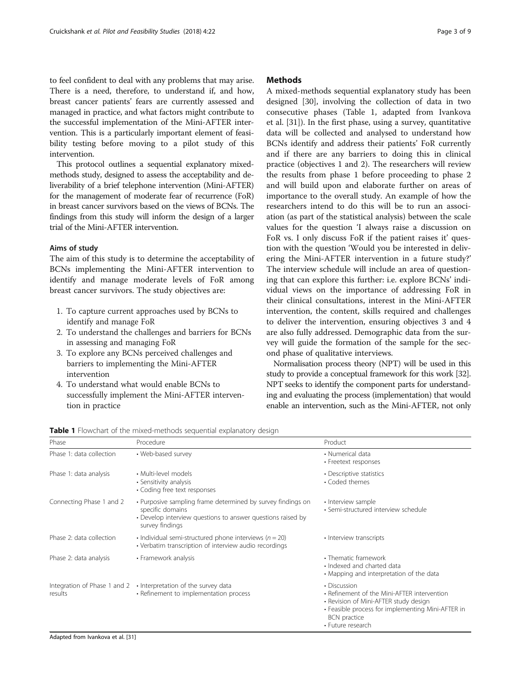to feel confident to deal with any problems that may arise. There is a need, therefore, to understand if, and how, breast cancer patients' fears are currently assessed and managed in practice, and what factors might contribute to the successful implementation of the Mini-AFTER intervention. This is a particularly important element of feasibility testing before moving to a pilot study of this intervention.

This protocol outlines a sequential explanatory mixedmethods study, designed to assess the acceptability and deliverability of a brief telephone intervention (Mini-AFTER) for the management of moderate fear of recurrence (FoR) in breast cancer survivors based on the views of BCNs. The findings from this study will inform the design of a larger trial of the Mini-AFTER intervention.

## Aims of study

The aim of this study is to determine the acceptability of BCNs implementing the Mini-AFTER intervention to identify and manage moderate levels of FoR among breast cancer survivors. The study objectives are:

- 1. To capture current approaches used by BCNs to identify and manage FoR
- 2. To understand the challenges and barriers for BCNs in assessing and managing FoR
- 3. To explore any BCNs perceived challenges and barriers to implementing the Mini-AFTER intervention
- 4. To understand what would enable BCNs to successfully implement the Mini-AFTER intervention in practice

# **Methods**

A mixed-methods sequential explanatory study has been designed [[30\]](#page-8-0), involving the collection of data in two consecutive phases (Table 1, adapted from Ivankova et al. [\[31](#page-8-0)]). In the first phase, using a survey, quantitative data will be collected and analysed to understand how BCNs identify and address their patients' FoR currently and if there are any barriers to doing this in clinical practice (objectives 1 and 2). The researchers will review the results from phase 1 before proceeding to phase 2 and will build upon and elaborate further on areas of importance to the overall study. An example of how the researchers intend to do this will be to run an association (as part of the statistical analysis) between the scale values for the question 'I always raise a discussion on FoR vs. I only discuss FoR if the patient raises it' question with the question 'Would you be interested in delivering the Mini-AFTER intervention in a future study?' The interview schedule will include an area of questioning that can explore this further: i.e. explore BCNs' individual views on the importance of addressing FoR in their clinical consultations, interest in the Mini-AFTER intervention, the content, skills required and challenges to deliver the intervention, ensuring objectives 3 and 4 are also fully addressed. Demographic data from the survey will guide the formation of the sample for the second phase of qualitative interviews.

Normalisation process theory (NPT) will be used in this study to provide a conceptual framework for this work [\[32](#page-8-0)]. NPT seeks to identify the component parts for understanding and evaluating the process (implementation) that would enable an intervention, such as the Mini-AFTER, not only

| Phase                    | Procedure                                                                                                                                                         | Product                                                                                                                                                                                               |
|--------------------------|-------------------------------------------------------------------------------------------------------------------------------------------------------------------|-------------------------------------------------------------------------------------------------------------------------------------------------------------------------------------------------------|
| Phase 1: data collection | • Web-based survey                                                                                                                                                | • Numerical data<br>• Freetext responses                                                                                                                                                              |
| Phase 1: data analysis   | • Multi-level models<br>• Sensitivity analysis<br>• Coding free text responses                                                                                    | • Descriptive statistics<br>• Coded themes                                                                                                                                                            |
| Connecting Phase 1 and 2 | • Purposive sampling frame determined by survey findings on<br>specific domains<br>• Develop interview questions to answer questions raised by<br>survey findings | • Interview sample<br>• Semi-structured interview schedule                                                                                                                                            |
| Phase 2: data collection | • Individual semi-structured phone interviews ( $n = 20$ )<br>• Verbatim transcription of interview audio recordings                                              | • Interview transcripts                                                                                                                                                                               |
| Phase 2: data analysis   | • Framework analysis                                                                                                                                              | • Thematic framework<br>• Indexed and charted data<br>• Mapping and interpretation of the data                                                                                                        |
| results                  | Integration of Phase 1 and 2 $\cdot$ Interpretation of the survey data<br>• Refinement to implementation process                                                  | • Discussion<br>• Refinement of the Mini-AFTER intervention<br>• Revision of Mini-AFTER study design<br>• Feasible process for implementing Mini-AFTER in<br><b>BCN</b> practice<br>• Future research |

Table 1 Flowchart of the mixed-methods sequential explanatory design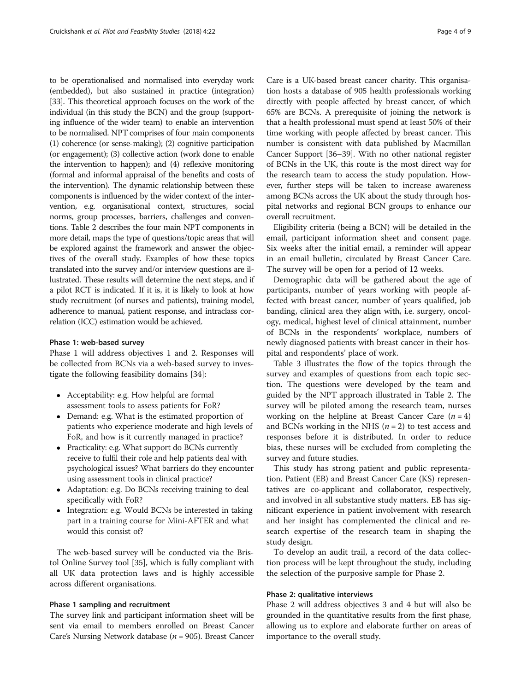to be operationalised and normalised into everyday work (embedded), but also sustained in practice (integration) [[33](#page-8-0)]. This theoretical approach focuses on the work of the individual (in this study the BCN) and the group (supporting influence of the wider team) to enable an intervention to be normalised. NPT comprises of four main components (1) coherence (or sense-making); (2) cognitive participation (or engagement); (3) collective action (work done to enable the intervention to happen); and (4) reflexive monitoring (formal and informal appraisal of the benefits and costs of the intervention). The dynamic relationship between these components is influenced by the wider context of the intervention, e.g. organisational context, structures, social norms, group processes, barriers, challenges and conventions. Table [2](#page-4-0) describes the four main NPT components in more detail, maps the type of questions/topic areas that will be explored against the framework and answer the objectives of the overall study. Examples of how these topics translated into the survey and/or interview questions are illustrated. These results will determine the next steps, and if a pilot RCT is indicated. If it is, it is likely to look at how study recruitment (of nurses and patients), training model, adherence to manual, patient response, and intraclass correlation (ICC) estimation would be achieved.

#### Phase 1: web-based survey

Phase 1 will address objectives 1 and 2. Responses will be collected from BCNs via a web-based survey to investigate the following feasibility domains [[34\]](#page-8-0):

- Acceptability: e.g. How helpful are formal assessment tools to assess patients for FoR?
- Demand: e.g. What is the estimated proportion of patients who experience moderate and high levels of FoR, and how is it currently managed in practice?
- Practicality: e.g. What support do BCNs currently receive to fulfil their role and help patients deal with psychological issues? What barriers do they encounter using assessment tools in clinical practice?
- Adaptation: e.g. Do BCNs receiving training to deal specifically with FoR?
- Integration: e.g. Would BCNs be interested in taking part in a training course for Mini-AFTER and what would this consist of?

The web-based survey will be conducted via the Bristol Online Survey tool [[35\]](#page-8-0), which is fully compliant with all UK data protection laws and is highly accessible across different organisations.

#### Phase 1 sampling and recruitment

The survey link and participant information sheet will be sent via email to members enrolled on Breast Cancer Care's Nursing Network database ( $n = 905$ ). Breast Cancer

Care is a UK-based breast cancer charity. This organisation hosts a database of 905 health professionals working directly with people affected by breast cancer, of which 65% are BCNs. A prerequisite of joining the network is that a health professional must spend at least 50% of their time working with people affected by breast cancer. This number is consistent with data published by Macmillan Cancer Support [[36](#page-8-0)–[39\]](#page-8-0). With no other national register of BCNs in the UK, this route is the most direct way for the research team to access the study population. However, further steps will be taken to increase awareness among BCNs across the UK about the study through hospital networks and regional BCN groups to enhance our overall recruitment.

Eligibility criteria (being a BCN) will be detailed in the email, participant information sheet and consent page. Six weeks after the initial email, a reminder will appear in an email bulletin, circulated by Breast Cancer Care. The survey will be open for a period of 12 weeks.

Demographic data will be gathered about the age of participants, number of years working with people affected with breast cancer, number of years qualified, job banding, clinical area they align with, i.e. surgery, oncology, medical, highest level of clinical attainment, number of BCNs in the respondents' workplace, numbers of newly diagnosed patients with breast cancer in their hospital and respondents' place of work.

Table [3](#page-5-0) illustrates the flow of the topics through the survey and examples of questions from each topic section. The questions were developed by the team and guided by the NPT approach illustrated in Table [2.](#page-4-0) The survey will be piloted among the research team, nurses working on the helpline at Breast Cancer Care  $(n = 4)$ and BCNs working in the NHS ( $n = 2$ ) to test access and responses before it is distributed. In order to reduce bias, these nurses will be excluded from completing the survey and future studies.

This study has strong patient and public representation. Patient (EB) and Breast Cancer Care (KS) representatives are co-applicant and collaborator, respectively, and involved in all substantive study matters. EB has significant experience in patient involvement with research and her insight has complemented the clinical and research expertise of the research team in shaping the study design.

To develop an audit trail, a record of the data collection process will be kept throughout the study, including the selection of the purposive sample for Phase 2.

# Phase 2: qualitative interviews

Phase 2 will address objectives 3 and 4 but will also be grounded in the quantitative results from the first phase, allowing us to explore and elaborate further on areas of importance to the overall study.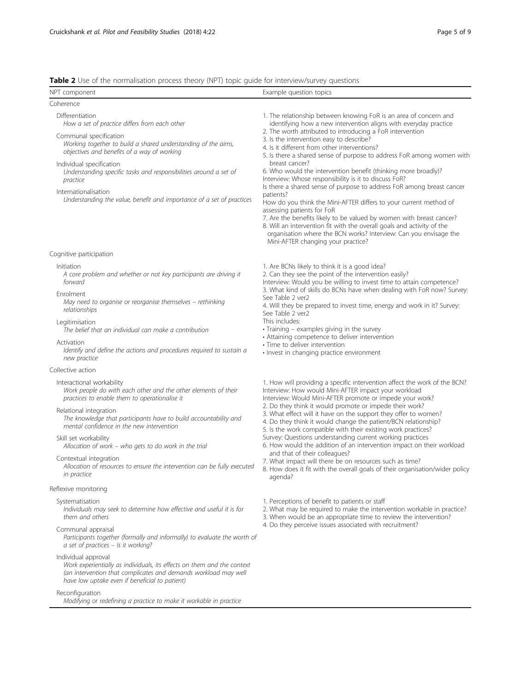# <span id="page-4-0"></span>Table 2 Use of the normalisation process theory (NPT) topic quide for intenview/survey questic

| NPT component                                                                                                                                                                                                       | Example question topics                                                                                                                                                                                                                                                                                                                                                                                                                            |  |  |
|---------------------------------------------------------------------------------------------------------------------------------------------------------------------------------------------------------------------|----------------------------------------------------------------------------------------------------------------------------------------------------------------------------------------------------------------------------------------------------------------------------------------------------------------------------------------------------------------------------------------------------------------------------------------------------|--|--|
| Coherence                                                                                                                                                                                                           |                                                                                                                                                                                                                                                                                                                                                                                                                                                    |  |  |
| Differentiation<br>How a set of practice differs from each other                                                                                                                                                    | 1. The relationship between knowing FoR is an area of concern and<br>identifying how a new intervention aligns with everyday practice<br>2. The worth attributed to introducing a FoR intervention                                                                                                                                                                                                                                                 |  |  |
| Communal specification<br>Working together to build a shared understanding of the aims,<br>objectives and benefits of a way of working                                                                              | 3. Is the intervention easy to describe?<br>4. Is it different from other interventions?<br>5. Is there a shared sense of purpose to address FoR among women with<br>breast cancer?<br>6. Who would the intervention benefit (thinking more broadly)?<br>Interview: Whose responsibility is it to discuss FoR?                                                                                                                                     |  |  |
| Individual specification<br>Understanding specific tasks and responsibilities around a set of<br>practice                                                                                                           |                                                                                                                                                                                                                                                                                                                                                                                                                                                    |  |  |
| Internationalisation<br>Understanding the value, benefit and importance of a set of practices                                                                                                                       | Is there a shared sense of purpose to address FoR among breast cancer<br>patients?<br>How do you think the Mini-AFTER differs to your current method of<br>assessing patients for FoR<br>7. Are the benefits likely to be valued by women with breast cancer?<br>8. Will an intervention fit with the overall goals and activity of the<br>organisation where the BCN works? Interview: Can you envisage the<br>Mini-AFTER changing your practice? |  |  |
| Cognitive participation                                                                                                                                                                                             |                                                                                                                                                                                                                                                                                                                                                                                                                                                    |  |  |
| Initiation<br>A core problem and whether or not key participants are driving it<br>forward<br>Enrolment                                                                                                             | 1. Are BCNs likely to think it is a good idea?<br>2. Can they see the point of the intervention easily?<br>Interview: Would you be willing to invest time to attain competence?<br>3. What kind of skills do BCNs have when dealing with FoR now? Survey:                                                                                                                                                                                          |  |  |
| May need to organise or reorganise themselves - rethinking<br>relationships                                                                                                                                         | See Table 2 ver2<br>4. Will they be prepared to invest time, energy and work in it? Survey:<br>See Table 2 ver2                                                                                                                                                                                                                                                                                                                                    |  |  |
| Legitimisation<br>The belief that an individual can make a contribution                                                                                                                                             | This includes:<br>· Training - examples giving in the survey<br>• Attaining competence to deliver intervention                                                                                                                                                                                                                                                                                                                                     |  |  |
| Activation<br>Identify and define the actions and procedures required to sustain a<br>new practice                                                                                                                  | · Time to deliver intervention<br>· Invest in changing practice environment                                                                                                                                                                                                                                                                                                                                                                        |  |  |
| Collective action                                                                                                                                                                                                   |                                                                                                                                                                                                                                                                                                                                                                                                                                                    |  |  |
| Interactional workability<br>Work people do with each other and the other elements of their<br>practices to enable them to operationalise it                                                                        | 1. How will providing a specific intervention affect the work of the BCN?<br>Interview: How would Mini-AFTER impact your workload<br>Interview: Would Mini-AFTER promote or impede your work?                                                                                                                                                                                                                                                      |  |  |
| Relational integration<br>The knowledge that participants have to build accountability and<br>mental confidence in the new intervention                                                                             | 2. Do they think it would promote or impede their work?<br>3. What effect will it have on the support they offer to women?<br>4. Do they think it would change the patient/BCN relationship?                                                                                                                                                                                                                                                       |  |  |
| Skill set workability<br>Allocation of work - who gets to do work in the trial                                                                                                                                      | 5. Is the work compatible with their existing work practices?<br>Survey: Questions understanding current working practices<br>6. How would the addition of an intervention impact on their workload                                                                                                                                                                                                                                                |  |  |
| Contextual integration<br>Allocation of resources to ensure the intervention can be fully executed<br>in practice                                                                                                   | and that of their colleagues?<br>7. What impact will there be on resources such as time?<br>8. How does it fit with the overall goals of their organisation/wider policy<br>agenda?                                                                                                                                                                                                                                                                |  |  |
| Reflexive monitoring                                                                                                                                                                                                |                                                                                                                                                                                                                                                                                                                                                                                                                                                    |  |  |
| Systematisation<br>Individuals may seek to determine how effective and useful it is for<br>them and others                                                                                                          | 1. Perceptions of benefit to patients or staff<br>2. What may be required to make the intervention workable in practice?<br>3. When would be an appropriate time to review the intervention?                                                                                                                                                                                                                                                       |  |  |
| Communal appraisal<br>Participants together (formally and informally) to evaluate the worth of<br>$a$ set of practices $-$ ls it working?                                                                           | 4. Do they perceive issues associated with recruitment?                                                                                                                                                                                                                                                                                                                                                                                            |  |  |
| Individual approval<br>Work experientially as individuals, its effects on them and the context<br>(an intervention that complicates and demands workload may well<br>have low uptake even if beneficial to patient) |                                                                                                                                                                                                                                                                                                                                                                                                                                                    |  |  |
| Reconfiguration<br>Modifying or redefining a practice to make it workable in practice                                                                                                                               |                                                                                                                                                                                                                                                                                                                                                                                                                                                    |  |  |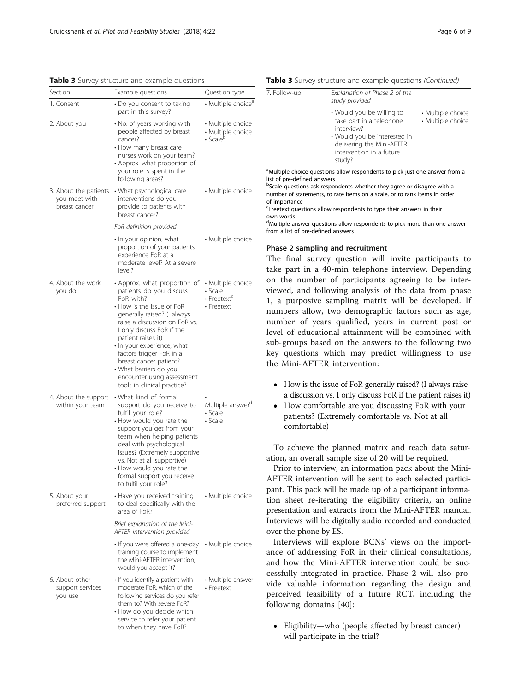<span id="page-5-0"></span>Table 3 Survey structure and example questions

| Section                                                 | Example questions                                                                                                                                                                                                                                                                                                                                                                               | Question type                                                               |
|---------------------------------------------------------|-------------------------------------------------------------------------------------------------------------------------------------------------------------------------------------------------------------------------------------------------------------------------------------------------------------------------------------------------------------------------------------------------|-----------------------------------------------------------------------------|
| 1. Consent                                              | • Do you consent to taking<br>part in this survey?                                                                                                                                                                                                                                                                                                                                              | • Multiple choice <sup>a</sup>                                              |
| 2. About you                                            | • No. of years working with<br>people affected by breast<br>cancer?<br>• How many breast care<br>nurses work on your team?<br>• Approx. what proportion of<br>your role is spent in the<br>following areas?                                                                                                                                                                                     | • Multiple choice<br>• Multiple choice<br>• Scale <sup>b</sup>              |
| 3. About the patients<br>you meet with<br>breast cancer | • What psychological care<br>interventions do you<br>provide to patients with<br>breast cancer?                                                                                                                                                                                                                                                                                                 | $\cdot$ Multiple choice                                                     |
|                                                         | FoR definition provided                                                                                                                                                                                                                                                                                                                                                                         |                                                                             |
|                                                         | • In your opinion, what<br>proportion of your patients<br>experience FoR at a<br>moderate level? At a severe<br>level?                                                                                                                                                                                                                                                                          | $\cdot$ Multiple choice                                                     |
| 4. About the work<br>you do                             | • Approx. what proportion of<br>patients do you discuss<br>FoR with?<br>• How is the issue of FoR<br>generally raised? (I always<br>raise a discussion on FoR vs.<br>I only discuss FoR if the<br>patient raises it)<br>· In your experience, what<br>factors trigger FoR in a<br>breast cancer patient?<br>• What barriers do you<br>encounter using assessment<br>tools in clinical practice? | • Multiple choice<br>• Scale<br>$\cdot$ Freetext <sup>c</sup><br>• Freetext |
| 4. About the support<br>within your team                | • What kind of formal<br>support do you receive to<br>fulfil your role?<br>• How would you rate the<br>support you get from your<br>team when helping patients<br>deal with psychological<br>issues? (Extremely supportive<br>vs. Not at all supportive)<br>• How would you rate the<br>formal support you receive<br>to fulfil your role?                                                      | Multiple answer <sup>d</sup><br>· Scale<br>· Scale                          |
| 5. About your<br>preferred support                      | • Have you received training<br>to deal specifically with the<br>area of FoR?                                                                                                                                                                                                                                                                                                                   | $\cdot$ Multiple choice                                                     |
|                                                         | Brief explanation of the Mini-<br>AFTER intervention provided                                                                                                                                                                                                                                                                                                                                   |                                                                             |
|                                                         | • If you were offered a one-day<br>training course to implement<br>the Mini-AFTER intervention,<br>would you accept it?                                                                                                                                                                                                                                                                         | • Multiple choice                                                           |
| 6. About other<br>support services<br>you use           | • If you identify a patient with<br>moderate FoR, which of the<br>following services do you refer<br>them to? With severe FoR?<br>• How do you decide which<br>service to refer your patient<br>to when they have FoR?                                                                                                                                                                          | • Multiple answer<br>• Freetext                                             |

| <b>Table 3</b> Survey structure and example questions (Continued) |  |  |  |
|-------------------------------------------------------------------|--|--|--|
|-------------------------------------------------------------------|--|--|--|

| 7. Follow-up                                                                            | Explanation of Phase 2 of the<br>study provided                                                                                                                        |                                        |  |
|-----------------------------------------------------------------------------------------|------------------------------------------------------------------------------------------------------------------------------------------------------------------------|----------------------------------------|--|
|                                                                                         | • Would you be willing to<br>take part in a telephone<br>interview?<br>• Would you be interested in<br>delivering the Mini-AFTER<br>intervention in a future<br>study? | • Multiple choice<br>• Multiple choice |  |
| <sup>a</sup> Multiple choice questions allow respondents to pick just one answer from a |                                                                                                                                                                        |                                        |  |

list of pre-defined answers

**bScale questions ask respondents whether they agree or disagree with a** number of statements, to rate items on a scale, or to rank items in order of importance

<sup>c</sup>Freetext questions allow respondents to type their answers in their own words

<sup>d</sup>Multiple answer questions allow respondents to pick more than one answer from a list of pre-defined answers

#### Phase 2 sampling and recruitment

The final survey question will invite participants to take part in a 40-min telephone interview. Depending on the number of participants agreeing to be interviewed, and following analysis of the data from phase 1, a purposive sampling matrix will be developed. If numbers allow, two demographic factors such as age, number of years qualified, years in current post or level of educational attainment will be combined with sub-groups based on the answers to the following two key questions which may predict willingness to use the Mini-AFTER intervention:

- How is the issue of FoR generally raised? (I always raise a discussion vs. I only discuss FoR if the patient raises it)
- How comfortable are you discussing FoR with your patients? (Extremely comfortable vs. Not at all comfortable)

To achieve the planned matrix and reach data saturation, an overall sample size of 20 will be required.

Prior to interview, an information pack about the Mini-AFTER intervention will be sent to each selected participant. This pack will be made up of a participant information sheet re-iterating the eligibility criteria, an online presentation and extracts from the Mini-AFTER manual. Interviews will be digitally audio recorded and conducted over the phone by ES.

Interviews will explore BCNs' views on the importance of addressing FoR in their clinical consultations, and how the Mini-AFTER intervention could be successfully integrated in practice. Phase 2 will also provide valuable information regarding the design and perceived feasibility of a future RCT, including the following domains [[40\]](#page-8-0):

• Eligibility—who (people affected by breast cancer) will participate in the trial?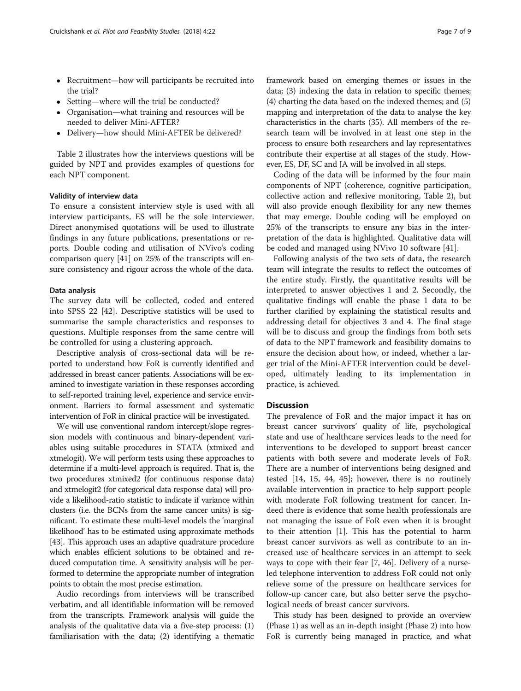- Recruitment—how will participants be recruited into the trial?
- Setting—where will the trial be conducted?
- Organisation—what training and resources will be needed to deliver Mini-AFTER?
- Delivery—how should Mini-AFTER be delivered?

Table [2](#page-4-0) illustrates how the interviews questions will be guided by NPT and provides examples of questions for each NPT component.

# Validity of interview data

To ensure a consistent interview style is used with all interview participants, ES will be the sole interviewer. Direct anonymised quotations will be used to illustrate findings in any future publications, presentations or reports. Double coding and utilisation of NVivo's coding comparison query [[41\]](#page-8-0) on 25% of the transcripts will ensure consistency and rigour across the whole of the data.

## Data analysis

The survey data will be collected, coded and entered into SPSS 22 [[42\]](#page-8-0). Descriptive statistics will be used to summarise the sample characteristics and responses to questions. Multiple responses from the same centre will be controlled for using a clustering approach.

Descriptive analysis of cross-sectional data will be reported to understand how FoR is currently identified and addressed in breast cancer patients. Associations will be examined to investigate variation in these responses according to self-reported training level, experience and service environment. Barriers to formal assessment and systematic intervention of FoR in clinical practice will be investigated.

We will use conventional random intercept/slope regression models with continuous and binary-dependent variables using suitable procedures in STATA (xtmixed and xtmelogit). We will perform tests using these approaches to determine if a multi-level approach is required. That is, the two procedures xtmixed2 (for continuous response data) and xtmelogit2 (for categorical data response data) will provide a likelihood-ratio statistic to indicate if variance within clusters (i.e. the BCNs from the same cancer units) is significant. To estimate these multi-level models the 'marginal likelihood' has to be estimated using approximate methods [[43](#page-8-0)]. This approach uses an adaptive quadrature procedure which enables efficient solutions to be obtained and reduced computation time. A sensitivity analysis will be performed to determine the appropriate number of integration points to obtain the most precise estimation.

Audio recordings from interviews will be transcribed verbatim, and all identifiable information will be removed from the transcripts. Framework analysis will guide the analysis of the qualitative data via a five-step process: (1) familiarisation with the data; (2) identifying a thematic

framework based on emerging themes or issues in the data; (3) indexing the data in relation to specific themes; (4) charting the data based on the indexed themes; and (5) mapping and interpretation of the data to analyse the key characteristics in the charts (35). All members of the research team will be involved in at least one step in the process to ensure both researchers and lay representatives contribute their expertise at all stages of the study. However, ES, DF, SC and JA will be involved in all steps.

Coding of the data will be informed by the four main components of NPT (coherence, cognitive participation, collective action and reflexive monitoring, Table [2\)](#page-4-0), but will also provide enough flexibility for any new themes that may emerge. Double coding will be employed on 25% of the transcripts to ensure any bias in the interpretation of the data is highlighted. Qualitative data will be coded and managed using NVivo 10 software [[41](#page-8-0)].

Following analysis of the two sets of data, the research team will integrate the results to reflect the outcomes of the entire study. Firstly, the quantitative results will be interpreted to answer objectives 1 and 2. Secondly, the qualitative findings will enable the phase 1 data to be further clarified by explaining the statistical results and addressing detail for objectives 3 and 4. The final stage will be to discuss and group the findings from both sets of data to the NPT framework and feasibility domains to ensure the decision about how, or indeed, whether a larger trial of the Mini-AFTER intervention could be developed, ultimately leading to its implementation in practice, is achieved.

## **Discussion**

The prevalence of FoR and the major impact it has on breast cancer survivors' quality of life, psychological state and use of healthcare services leads to the need for interventions to be developed to support breast cancer patients with both severe and moderate levels of FoR. There are a number of interventions being designed and tested [\[14, 15,](#page-7-0) [44, 45\]](#page-8-0); however, there is no routinely available intervention in practice to help support people with moderate FoR following treatment for cancer. Indeed there is evidence that some health professionals are not managing the issue of FoR even when it is brought to their attention [\[1](#page-7-0)]. This has the potential to harm breast cancer survivors as well as contribute to an increased use of healthcare services in an attempt to seek ways to cope with their fear [\[7](#page-7-0), [46\]](#page-8-0). Delivery of a nurseled telephone intervention to address FoR could not only relieve some of the pressure on healthcare services for follow-up cancer care, but also better serve the psychological needs of breast cancer survivors.

This study has been designed to provide an overview (Phase 1) as well as an in-depth insight (Phase 2) into how FoR is currently being managed in practice, and what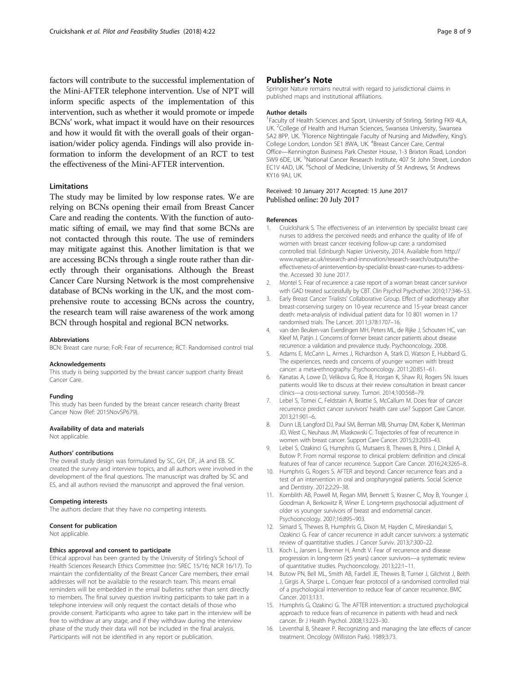<span id="page-7-0"></span>factors will contribute to the successful implementation of the Mini-AFTER telephone intervention. Use of NPT will inform specific aspects of the implementation of this intervention, such as whether it would promote or impede BCNs' work, what impact it would have on their resources and how it would fit with the overall goals of their organisation/wider policy agenda. Findings will also provide information to inform the development of an RCT to test the effectiveness of the Mini-AFTER intervention.

# Limitations

The study may be limited by low response rates. We are relying on BCNs opening their email from Breast Cancer Care and reading the contents. With the function of automatic sifting of email, we may find that some BCNs are not contacted through this route. The use of reminders may mitigate against this. Another limitation is that we are accessing BCNs through a single route rather than directly through their organisations. Although the Breast Cancer Care Nursing Network is the most comprehensive database of BCNs working in the UK, and the most comprehensive route to accessing BCNs across the country, the research team will raise awareness of the work among BCN through hospital and regional BCN networks.

#### Abbreviations

BCN: Breast care nurse; FoR: Fear of recurrence; RCT: Randomised control trial

#### Acknowledgements

This study is being supported by the breast cancer support charity Breast Cancer Care.

#### Funding

This study has been funded by the breast cancer research charity Breast Cancer Now (Ref: 2015NovSP679).

#### Availability of data and materials

Not applicable.

#### Authors' contributions

The overall study design was formulated by SC, GH, DF, JA and EB. SC created the survey and interview topics, and all authors were involved in the development of the final questions. The manuscript was drafted by SC and ES, and all authors revised the manuscript and approved the final version.

#### Competing interests

The authors declare that they have no competing interests.

#### Consent for publication

Not applicable.

#### Ethics approval and consent to participate

Ethical approval has been granted by the University of Stirling's School of Health Sciences Research Ethics Committee (no: SREC 15/16; NICR 16/17). To maintain the confidentiality of the Breast Cancer Care members, their email addresses will not be available to the research team. This means email reminders will be embedded in the email bulletins rather than sent directly to members. The final survey question inviting participants to take part in a telephone interview will only request the contact details of those who provide consent. Participants who agree to take part in the interview will be free to withdraw at any stage, and if they withdraw during the interview phase of the study their data will not be included in the final analysis. Participants will not be identified in any report or publication.

## Publisher's Note

Springer Nature remains neutral with regard to jurisdictional claims in published maps and institutional affiliations.

#### Author details

<sup>1</sup> Faculty of Health Sciences and Sport, University of Stirling, Stirling FK9 4LA, UK. <sup>2</sup>College of Health and Human Sciences, Swansea University, Swansea SA2 8PP, UK.<sup>3</sup> Florence Nightingale Faculty of Nursing and Midwifery, King's College London, London SE1 8WA, UK. <sup>4</sup>Breast Cancer Care, Central Office—Kennington Business Park Chester House, 1-3 Brixton Road, London SW9 6DE, UK. <sup>5</sup>National Cancer Research Institute, 407 St John Street, London EC1V 4AD, UK. <sup>6</sup>School of Medicine, University of St Andrews, St Andrews KY16 9AJ, UK.

## Received: 10 January 2017 Accepted: 15 June 2017 Published online: 20 July 2017

#### References

- 1. Cruickshank S. The effectiveness of an intervention by specialist breast care nurses to address the perceived needs and enhance the quality of life of women with breast cancer receiving follow-up care: a randomised controlled trial. Edinburgh Napier University, 2014. Available from [http://](http://www.napier.ac.uk/research-and-innovation/research-search/outputs/the-effectiveness-of-anintervention-by-specialist-breast-care-nurses-to-address-the) [www.napier.ac.uk/research-and-innovation/research-search/outputs/the](http://www.napier.ac.uk/research-and-innovation/research-search/outputs/the-effectiveness-of-anintervention-by-specialist-breast-care-nurses-to-address-the)[effectiveness-of-anintervention-by-specialist-breast-care-nurses-to-address](http://www.napier.ac.uk/research-and-innovation/research-search/outputs/the-effectiveness-of-anintervention-by-specialist-breast-care-nurses-to-address-the)[the](http://www.napier.ac.uk/research-and-innovation/research-search/outputs/the-effectiveness-of-anintervention-by-specialist-breast-care-nurses-to-address-the). Accessed 30 June 2017.
- 2. Montel S. Fear of recurrence: a case report of a woman breast cancer survivor with GAD treated successfully by CBT. Clin Psychol Psychother. 2010;17:346–53.
- 3. Early Breast Cancer Trialists' Collaborative Group. Effect of radiotherapy after breast-conserving surgery on 10-year recurrence and 15-year breast cancer death: meta-analysis of individual patient data for 10 801 women in 17 randomised trials. The Lancet. 2011;378:1707–16.
- 4. van den Beuken-van Everdingen MH, Peters ML, de Rijke J, Schouten HC, van Kleef M, Patijn J. Concerns of former breast cancer patients about disease recurrence: a validation and prevalence study. Psychooncology. 2008.
- 5. Adams E, McCann L, Armes J, Richardson A, Stark D, Watson E, Hubbard G. The experiences, needs and concerns of younger women with breast cancer: a meta‐ethnography. Psychooncology. 2011;20:851–61.
- 6. Kanatas A, Lowe D, Velikova G, Roe B, Horgan K, Shaw RJ, Rogers SN. Issues patients would like to discuss at their review consultation in breast cancer clinics—a cross-sectional survey. Tumori. 2014;100:568–79.
- Lebel S, Tomei C, Feldstain A, Beattie S, McCallum M. Does fear of cancer recurrence predict cancer survivors' health care use? Support Care Cancer. 2013;21:901–6.
- 8. Dunn LB, Langford DJ, Paul SM, Berman MB, Shumay DM, Kober K, Merriman JD, West C, Neuhaus JM, Miaskowski C. Trajectories of fear of recurrence in women with breast cancer. Support Care Cancer. 2015;23:2033–43.
- 9. Lebel S, Ozakinci G, Humphris G, Mutsaers B, Thewes B, Prins J, Dinkel A, Butow P. From normal response to clinical problem: definition and clinical features of fear of cancer recurrence. Support Care Cancer. 2016;24:3265–8.
- 10. Humphris G, Rogers S. AFTER and beyond: Cancer recurrence fears and a test of an intervention in oral and oropharyngeal patients. Social Science and Dentistry. 2012;2:29–38.
- 11. Kornblith AB, Powell M, Regan MM, Bennett S, Krasner C, Moy B, Younger J, Goodman A, Berkowitz R, Winer E. Long‐term psychosocial adjustment of older vs younger survivors of breast and endometrial cancer. Psychooncology. 2007;16:895–903.
- 12. Simard S, Thewes B, Humphris G, Dixon M, Hayden C, Mireskandari S, Ozakinci G. Fear of cancer recurrence in adult cancer survivors: a systematic review of quantitative studies. J Cancer Surviv. 2013;7:300–22.
- 13. Koch L, Jansen L, Brenner H, Arndt V. Fear of recurrence and disease progression in long‐term (≥5 years) cancer survivors—a systematic review of quantitative studies. Psychooncology. 2013;22:1–11.
- 14. Butow PN, Bell ML, Smith AB, Fardell JE, Thewes B, Turner J, Gilchrist J, Beith J, Girgis A, Sharpe L. Conquer fear: protocol of a randomised controlled trial of a psychological intervention to reduce fear of cancer recurrence. BMC Cancer. 2013;13:1.
- 15. Humphris G, Ozakinci G. The AFTER intervention: a structured psychological approach to reduce fears of recurrence in patients with head and neck cancer. Br J Health Psychol. 2008;13:223–30.
- 16. Leventhal B, Shearer P. Recognizing and managing the late effects of cancer treatment. Oncology (Williston Park). 1989;3:73.